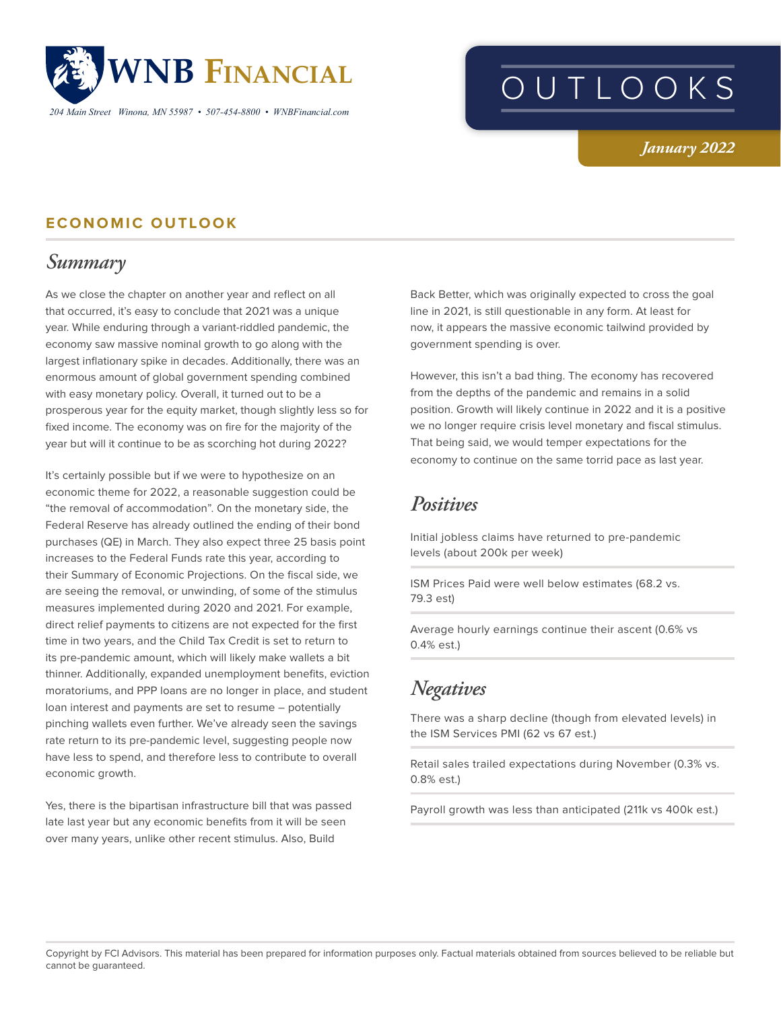

*204 Main Street Winona, MN 55987 • 507-454-8800 • WNBFinancial.com*

# OUTLOOKS

#### *January 2022*

#### **ECONOMIC OUTLOOK**

## *Summary*

As we close the chapter on another year and reflect on all that occurred, it's easy to conclude that 2021 was a unique year. While enduring through a variant-riddled pandemic, the economy saw massive nominal growth to go along with the largest inflationary spike in decades. Additionally, there was an enormous amount of global government spending combined with easy monetary policy. Overall, it turned out to be a prosperous year for the equity market, though slightly less so for fixed income. The economy was on fire for the majority of the year but will it continue to be as scorching hot during 2022?

It's certainly possible but if we were to hypothesize on an economic theme for 2022, a reasonable suggestion could be "the removal of accommodation". On the monetary side, the Federal Reserve has already outlined the ending of their bond purchases (QE) in March. They also expect three 25 basis point increases to the Federal Funds rate this year, according to their Summary of Economic Projections. On the fiscal side, we are seeing the removal, or unwinding, of some of the stimulus measures implemented during 2020 and 2021. For example, direct relief payments to citizens are not expected for the first time in two years, and the Child Tax Credit is set to return to its pre-pandemic amount, which will likely make wallets a bit thinner. Additionally, expanded unemployment benefits, eviction moratoriums, and PPP loans are no longer in place, and student loan interest and payments are set to resume – potentially pinching wallets even further. We've already seen the savings rate return to its pre-pandemic level, suggesting people now have less to spend, and therefore less to contribute to overall economic growth.

Yes, there is the bipartisan infrastructure bill that was passed late last year but any economic benefits from it will be seen over many years, unlike other recent stimulus. Also, Build

Back Better, which was originally expected to cross the goal line in 2021, is still questionable in any form. At least for now, it appears the massive economic tailwind provided by government spending is over.

However, this isn't a bad thing. The economy has recovered from the depths of the pandemic and remains in a solid position. Growth will likely continue in 2022 and it is a positive we no longer require crisis level monetary and fiscal stimulus. That being said, we would temper expectations for the economy to continue on the same torrid pace as last year.

#### *Positives*

Initial jobless claims have returned to pre-pandemic levels (about 200k per week)

ISM Prices Paid were well below estimates (68.2 vs. 79.3 est)

Average hourly earnings continue their ascent (0.6% vs 0.4% est.)

# *Negatives*

There was a sharp decline (though from elevated levels) in the ISM Services PMI (62 vs 67 est.)

Retail sales trailed expectations during November (0.3% vs. 0.8% est.)

Payroll growth was less than anticipated (211k vs 400k est.)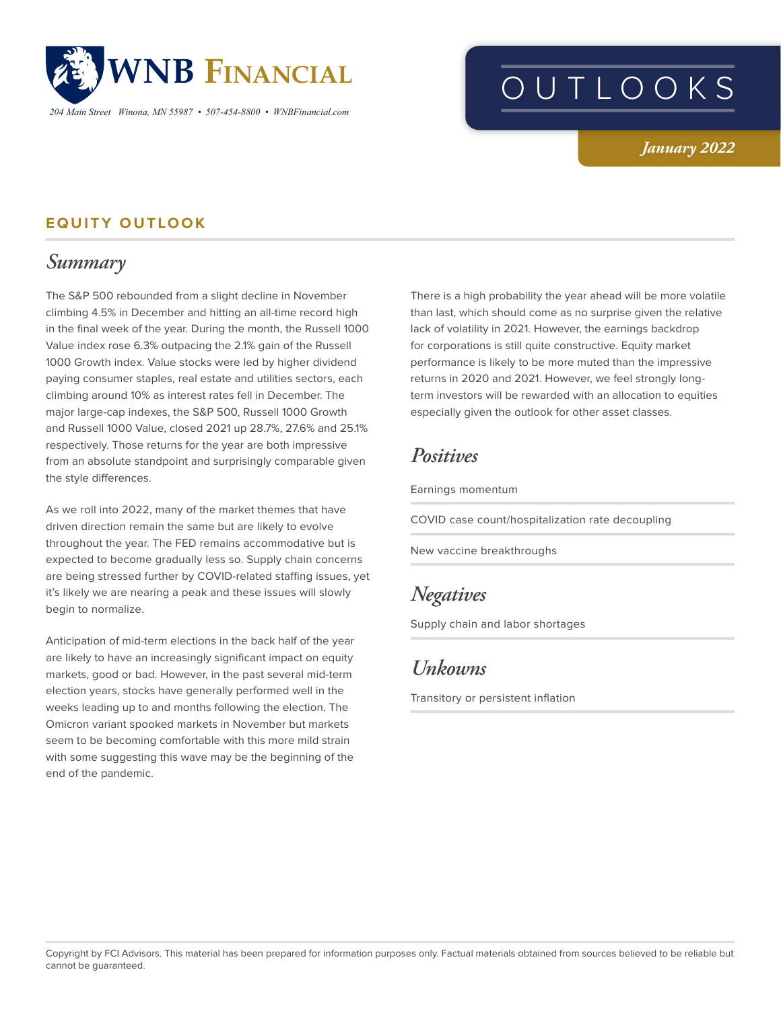

*204 Main Street Winona, MN 55987 • 507-454-8800 • WNBFinancial.com*

# OUTLOOKS

#### *January 2022*

#### **EQUITY OUTLOOK**

## *Summary*

The S&P 500 rebounded from a slight decline in November climbing 4.5% in December and hitting an all-time record high in the final week of the year. During the month, the Russell 1000 Value index rose 6.3% outpacing the 2.1% gain of the Russell 1000 Growth index. Value stocks were led by higher dividend paying consumer staples, real estate and utilities sectors, each climbing around 10% as interest rates fell in December. The major large-cap indexes, the S&P 500, Russell 1000 Growth and Russell 1000 Value, closed 2021 up 28.7%, 27.6% and 25.1% respectively. Those returns for the year are both impressive from an absolute standpoint and surprisingly comparable given the style differences.

As we roll into 2022, many of the market themes that have driven direction remain the same but are likely to evolve throughout the year. The FED remains accommodative but is expected to become gradually less so. Supply chain concerns are being stressed further by COVID-related staffing issues, yet it's likely we are nearing a peak and these issues will slowly begin to normalize.

Anticipation of mid-term elections in the back half of the year are likely to have an increasingly significant impact on equity markets, good or bad. However, in the past several mid-term election years, stocks have generally performed well in the weeks leading up to and months following the election. The Omicron variant spooked markets in November but markets seem to be becoming comfortable with this more mild strain with some suggesting this wave may be the beginning of the end of the pandemic.

There is a high probability the year ahead will be more volatile than last, which should come as no surprise given the relative lack of volatility in 2021. However, the earnings backdrop for corporations is still quite constructive. Equity market performance is likely to be more muted than the impressive returns in 2020 and 2021. However, we feel strongly longterm investors will be rewarded with an allocation to equities especially given the outlook for other asset classes.

## *Positives*

Earnings momentum

COVID case count/hospitalization rate decoupling

New vaccine breakthroughs

### *Negatives*

Supply chain and labor shortages

### *Unkowns*

Transitory or persistent inflation